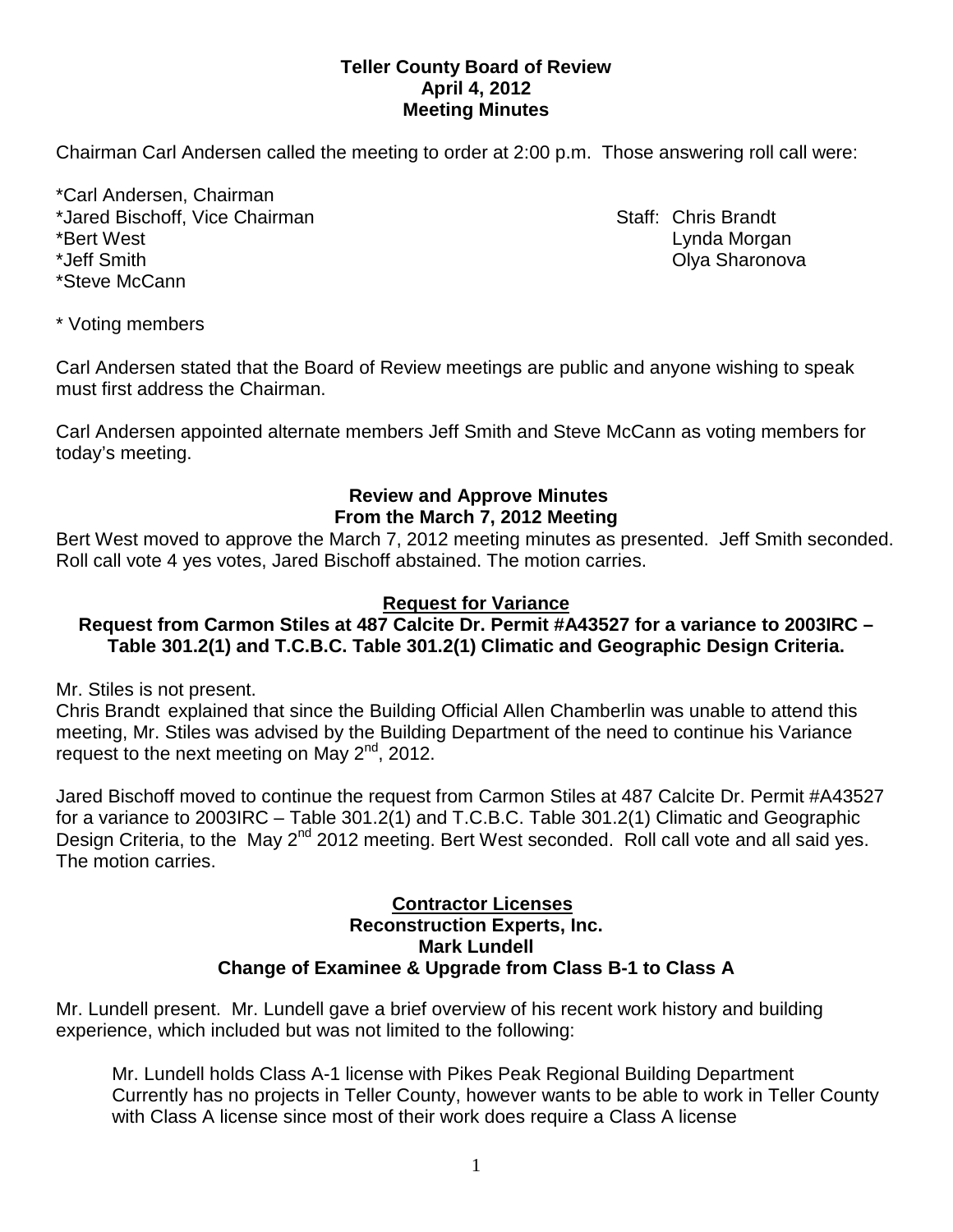## **Teller County Board of Review April 4, 2012 Meeting Minutes**

Chairman Carl Andersen called the meeting to order at 2:00 p.m. Those answering roll call were:

\*Carl Andersen, Chairman \*Jared Bischoff, Vice Chairman Staff: Chris Brandt \*Bert West Lynda Morgan \*Jeff Smith Olya Sharonova \*Steve McCann

\* Voting members

Carl Andersen stated that the Board of Review meetings are public and anyone wishing to speak must first address the Chairman.

Carl Andersen appointed alternate members Jeff Smith and Steve McCann as voting members for today's meeting.

## **Review and Approve Minutes From the March 7, 2012 Meeting**

Bert West moved to approve the March 7, 2012 meeting minutes as presented. Jeff Smith seconded. Roll call vote 4 yes votes, Jared Bischoff abstained. The motion carries.

# **Request for Variance**

# **Request from Carmon Stiles at 487 Calcite Dr. Permit #A43527 for a variance to 2003IRC – Table 301.2(1) and T.C.B.C. Table 301.2(1) Climatic and Geographic Design Criteria.**

Mr. Stiles is not present.

Chris Brandt explained that since the Building Official Allen Chamberlin was unable to attend this meeting, Mr. Stiles was advised by the Building Department of the need to continue his Variance request to the next meeting on May  $2^{nd}$ , 2012.

Jared Bischoff moved to continue the request from Carmon Stiles at 487 Calcite Dr. Permit #A43527 for a variance to 2003IRC – Table 301.2(1) and T.C.B.C. Table 301.2(1) Climatic and Geographic Design Criteria, to the May 2<sup>nd</sup> 2012 meeting. Bert West seconded. Roll call vote and all said yes. The motion carries.

#### **Contractor Licenses Reconstruction Experts, Inc. Mark Lundell Change of Examinee & Upgrade from Class B-1 to Class A**

Mr. Lundell present. Mr. Lundell gave a brief overview of his recent work history and building experience, which included but was not limited to the following:

Mr. Lundell holds Class A-1 license with Pikes Peak Regional Building Department Currently has no projects in Teller County, however wants to be able to work in Teller County with Class A license since most of their work does require a Class A license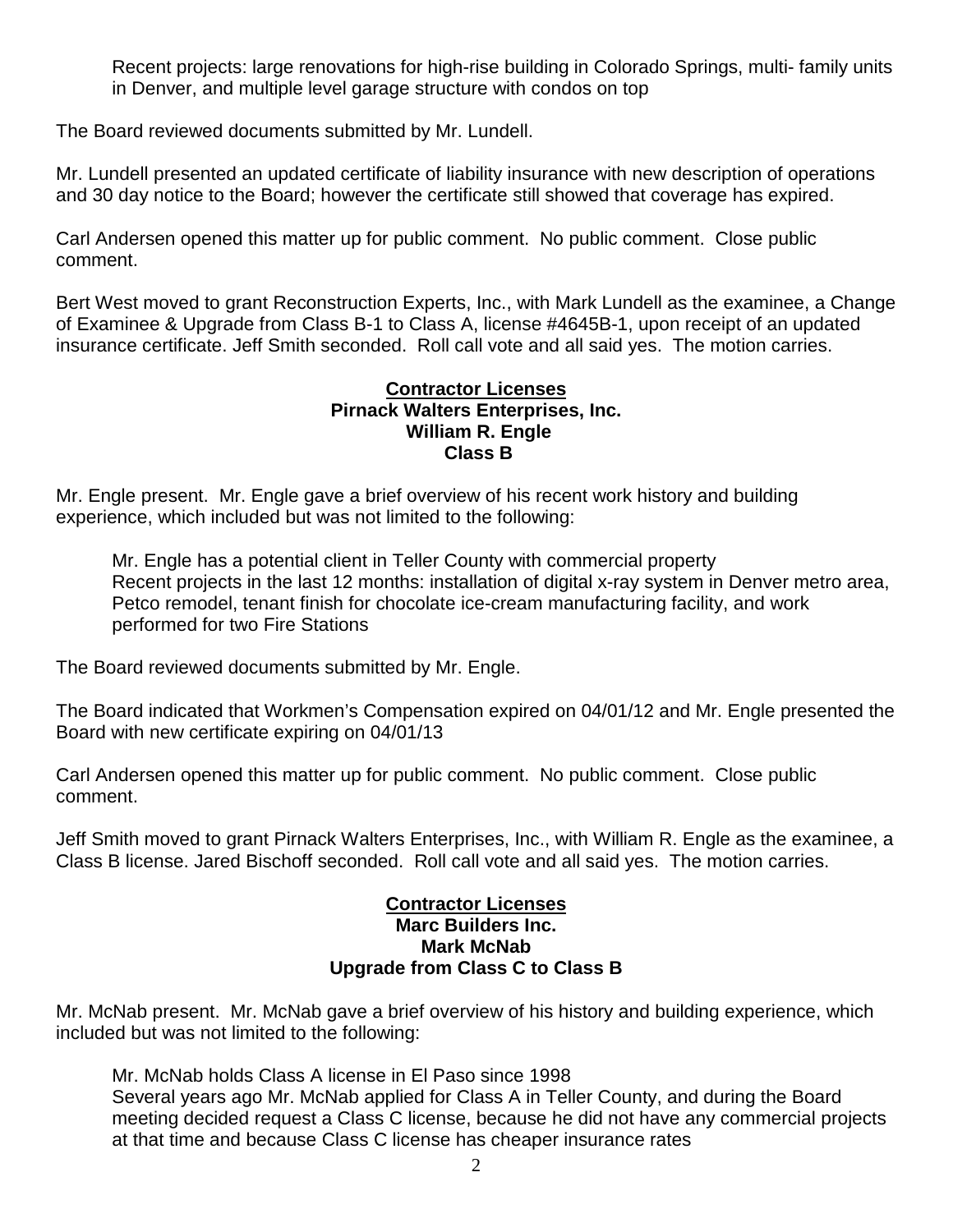Recent projects: large renovations for high-rise building in Colorado Springs, multi- family units in Denver, and multiple level garage structure with condos on top

The Board reviewed documents submitted by Mr. Lundell.

Mr. Lundell presented an updated certificate of liability insurance with new description of operations and 30 day notice to the Board; however the certificate still showed that coverage has expired.

Carl Andersen opened this matter up for public comment. No public comment. Close public comment.

Bert West moved to grant Reconstruction Experts, Inc., with Mark Lundell as the examinee, a Change of Examinee & Upgrade from Class B-1 to Class A, license #4645B-1, upon receipt of an updated insurance certificate. Jeff Smith seconded. Roll call vote and all said yes. The motion carries.

#### **Contractor Licenses Pirnack Walters Enterprises, Inc. William R. Engle Class B**

Mr. Engle present. Mr. Engle gave a brief overview of his recent work history and building experience, which included but was not limited to the following:

Mr. Engle has a potential client in Teller County with commercial property Recent projects in the last 12 months: installation of digital x-ray system in Denver metro area, Petco remodel, tenant finish for chocolate ice-cream manufacturing facility, and work performed for two Fire Stations

The Board reviewed documents submitted by Mr. Engle.

The Board indicated that Workmen's Compensation expired on 04/01/12 and Mr. Engle presented the Board with new certificate expiring on 04/01/13

Carl Andersen opened this matter up for public comment. No public comment. Close public comment.

Jeff Smith moved to grant Pirnack Walters Enterprises, Inc., with William R. Engle as the examinee, a Class B license. Jared Bischoff seconded. Roll call vote and all said yes. The motion carries.

### **Contractor Licenses Marc Builders Inc. Mark McNab Upgrade from Class C to Class B**

Mr. McNab present. Mr. McNab gave a brief overview of his history and building experience, which included but was not limited to the following:

Mr. McNab holds Class A license in El Paso since 1998 Several years ago Mr. McNab applied for Class A in Teller County, and during the Board meeting decided request a Class C license, because he did not have any commercial projects at that time and because Class C license has cheaper insurance rates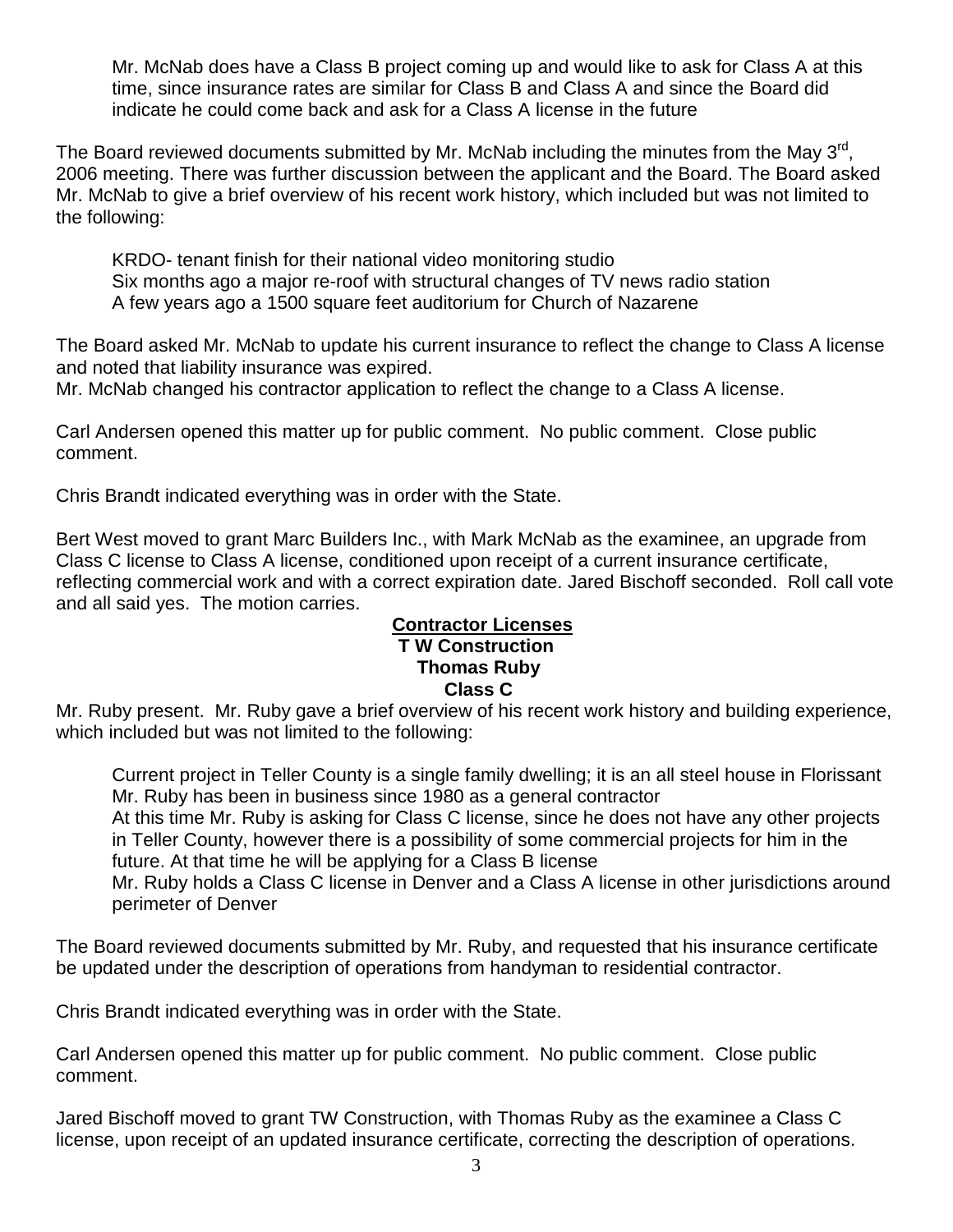Mr. McNab does have a Class B project coming up and would like to ask for Class A at this time, since insurance rates are similar for Class B and Class A and since the Board did indicate he could come back and ask for a Class A license in the future

The Board reviewed documents submitted by Mr. McNab including the minutes from the Mav 3rd. 2006 meeting. There was further discussion between the applicant and the Board. The Board asked Mr. McNab to give a brief overview of his recent work history, which included but was not limited to the following:

KRDO- tenant finish for their national video monitoring studio Six months ago a major re-roof with structural changes of TV news radio station A few years ago a 1500 square feet auditorium for Church of Nazarene

The Board asked Mr. McNab to update his current insurance to reflect the change to Class A license and noted that liability insurance was expired.

Mr. McNab changed his contractor application to reflect the change to a Class A license.

Carl Andersen opened this matter up for public comment. No public comment. Close public comment.

Chris Brandt indicated everything was in order with the State.

Bert West moved to grant Marc Builders Inc., with Mark McNab as the examinee, an upgrade from Class C license to Class A license, conditioned upon receipt of a current insurance certificate, reflecting commercial work and with a correct expiration date. Jared Bischoff seconded. Roll call vote and all said yes. The motion carries.

# **Contractor Licenses T W Construction Thomas Ruby Class C**

Mr. Ruby present. Mr. Ruby gave a brief overview of his recent work history and building experience, which included but was not limited to the following:

Current project in Teller County is a single family dwelling; it is an all steel house in Florissant Mr. Ruby has been in business since 1980 as a general contractor At this time Mr. Ruby is asking for Class C license, since he does not have any other projects in Teller County, however there is a possibility of some commercial projects for him in the future. At that time he will be applying for a Class B license

Mr. Ruby holds a Class C license in Denver and a Class A license in other jurisdictions around perimeter of Denver

The Board reviewed documents submitted by Mr. Ruby, and requested that his insurance certificate be updated under the description of operations from handyman to residential contractor.

Chris Brandt indicated everything was in order with the State.

Carl Andersen opened this matter up for public comment. No public comment. Close public comment.

Jared Bischoff moved to grant TW Construction, with Thomas Ruby as the examinee a Class C license, upon receipt of an updated insurance certificate, correcting the description of operations.